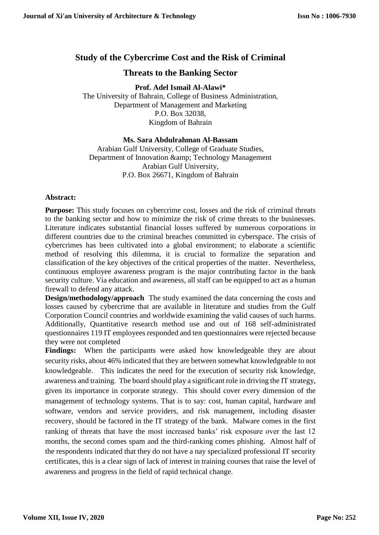# **Study of the Cybercrime Cost and the Risk of Criminal**

# **Threats to the Banking Sector**

**Prof. Adel Ismail Al-Alawi\***

The University of Bahrain, College of Business Administration, Department of Management and Marketing P.O. Box 32038, Kingdom of Bahrain

# **Ms. Sara Abdulrahman Al-Bassam**

Arabian Gulf University, College of Graduate Studies, Department of Innovation & amp; Technology Management Arabian Gulf University, P.O. Box 26671, Kingdom of Bahrain

# **Abstract:**

**Purpose:** This study focuses on cybercrime cost, losses and the risk of criminal threats to the banking sector and how to minimize the risk of crime threats to the businesses. Literature indicates substantial financial losses suffered by numerous corporations in different countries due to the criminal breaches committed in cyberspace. The crisis of cybercrimes has been cultivated into a global environment; to elaborate a scientific method of resolving this dilemma, it is crucial to formalize the separation and classification of the key objectives of the critical properties of the matter. Nevertheless, continuous employee awareness program is the major contributing factor in the bank security culture. Via education and awareness, all staff can be equipped to act as a human firewall to defend any attack.

**Design/methodology/approach** The study examined the data concerning the costs and losses caused by cybercrime that are available in literature and studies from the Gulf Corporation Council countries and worldwide examining the valid causes of such harms. Additionally, Quantitative research method use and out of 168 self-administrated questionnaires 119 IT employees responded and ten questionnaires were rejected because they were not completed

**Findings:** When the participants were asked how knowledgeable they are about security risks, about 46% indicated that they are between somewhat knowledgeable to not knowledgeable. This indicates the need for the execution of security risk knowledge, awareness and training. The board should play a significant role in driving the IT strategy, given its importance in corporate strategy. This should cover every dimension of the management of technology systems. That is to say: cost, human capital, hardware and software, vendors and service providers, and risk management, including disaster recovery, should be factored in the IT strategy of the bank. Malware comes in the first ranking of threats that have the most increased banks' risk exposure over the last 12 months, the second comes spam and the third-ranking comes phishing. Almost half of the respondents indicated that they do not have a nay specialized professional IT security certificates, this is a clear sign of lack of interest in training courses that raise the level of awareness and progress in the field of rapid technical change.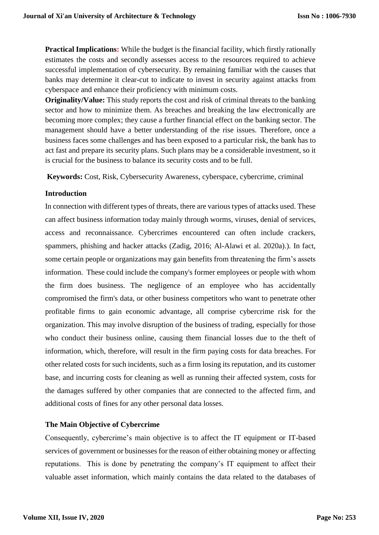**Practical Implications:** While the budget is the financial facility, which firstly rationally estimates the costs and secondly assesses access to the resources required to achieve successful implementation of cybersecurity. By remaining familiar with the causes that banks may determine it clear-cut to indicate to invest in security against attacks from cyberspace and enhance their proficiency with minimum costs.

**Originality/Value:** This study reports the cost and risk of criminal threats to the banking sector and how to minimize them. As breaches and breaking the law electronically are becoming more complex; they cause a further financial effect on the banking sector. The management should have a better understanding of the rise issues. Therefore, once a business faces some challenges and has been exposed to a particular risk, the bank has to act fast and prepare its security plans. Such plans may be a considerable investment, so it is crucial for the business to balance its security costs and to be full.

**Keywords:** Cost, Risk, Cybersecurity Awareness, cyberspace, cybercrime, criminal

# **Introduction**

In connection with different types of threats, there are various types of attacks used. These can affect business information today mainly through worms, viruses, denial of services, access and reconnaissance. Cybercrimes encountered can often include crackers, spammers, phishing and hacker attacks (Zadig, 2016; Al-Alawi et al. 2020a).). In fact, some certain people or organizations may gain benefits from threatening the firm's assets information. These could include the company's former employees or people with whom the firm does business. The negligence of an employee who has accidentally compromised the firm's data, or other business competitors who want to penetrate other profitable firms to gain economic advantage, all comprise cybercrime risk for the organization. This may involve disruption of the business of trading, especially for those who conduct their business online, causing them financial losses due to the theft of information, which, therefore, will result in the firm paying costs for data breaches. For other related costs for such incidents, such as a firm losing its reputation, and its customer base, and incurring costs for cleaning as well as running their affected system, costs for the damages suffered by other companies that are connected to the affected firm, and additional costs of fines for any other personal data losses.

# **The Main Objective of Cybercrime**

Consequently, cybercrime's main objective is to affect the IT equipment or IT-based services of government or businesses for the reason of either obtaining money or affecting reputations. This is done by penetrating the company's IT equipment to affect their valuable asset information, which mainly contains the data related to the databases of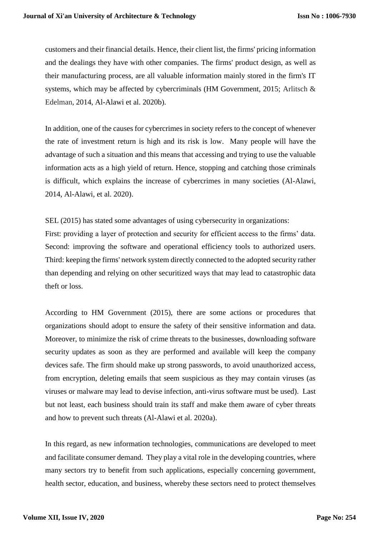customers and their financial details. Hence, their client list, the firms' pricing information and the dealings they have with other companies. The firms' product design, as well as their manufacturing process, are all valuable information mainly stored in the firm's IT systems, which may be affected by cybercriminals (HM Government, 2015; Arlitsch & Edelman, 2014, Al-Alawi et al. 2020b).

In addition, one of the causes for cybercrimes in society refers to the concept of whenever the rate of investment return is high and its risk is low. Many people will have the advantage of such a situation and this means that accessing and trying to use the valuable information acts as a high yield of return. Hence, stopping and catching those criminals is difficult, which explains the increase of cybercrimes in many societies (Al-Alawi, 2014, Al-Alawi, et al. 2020).

SEL (2015) has stated some advantages of using cybersecurity in organizations:

First: providing a layer of protection and security for efficient access to the firms' data. Second: improving the software and operational efficiency tools to authorized users. Third: keeping the firms' network system directly connected to the adopted security rather than depending and relying on other securitized ways that may lead to catastrophic data theft or loss.

According to HM Government (2015), there are some actions or procedures that organizations should adopt to ensure the safety of their sensitive information and data. Moreover, to minimize the risk of crime threats to the businesses, downloading software security updates as soon as they are performed and available will keep the company devices safe. The firm should make up strong passwords, to avoid unauthorized access, from encryption, deleting emails that seem suspicious as they may contain viruses (as viruses or malware may lead to devise infection, anti-virus software must be used). Last but not least, each business should train its staff and make them aware of cyber threats and how to prevent such threats (Al-Alawi et al. 2020a).

In this regard, as new information technologies, communications are developed to meet and facilitate consumer demand. They play a vital role in the developing countries, where many sectors try to benefit from such applications, especially concerning government, health sector, education, and business, whereby these sectors need to protect themselves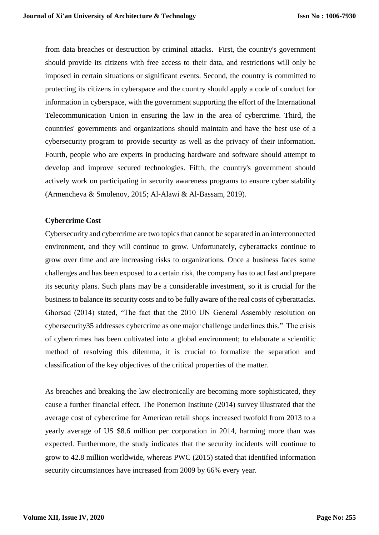from data breaches or destruction by criminal attacks. First, the country's government should provide its citizens with free access to their data, and restrictions will only be imposed in certain situations or significant events. Second, the country is committed to protecting its citizens in cyberspace and the country should apply a code of conduct for information in cyberspace, with the government supporting the effort of the International Telecommunication Union in ensuring the law in the area of cybercrime. Third, the countries' governments and organizations should maintain and have the best use of a cybersecurity program to provide security as well as the privacy of their information. Fourth, people who are experts in producing hardware and software should attempt to develop and improve secured technologies. Fifth, the country's government should actively work on participating in security awareness programs to ensure cyber stability (Armencheva & Smolenov, 2015; Al-Alawi & Al-Bassam, 2019).

#### **Cybercrime Cost**

Cybersecurity and cybercrime are two topics that cannot be separated in an interconnected environment, and they will continue to grow. Unfortunately, cyberattacks continue to grow over time and are increasing risks to organizations. Once a business faces some challenges and has been exposed to a certain risk, the company has to act fast and prepare its security plans. Such plans may be a considerable investment, so it is crucial for the business to balance its security costs and to be fully aware of the real costs of cyberattacks. Ghorsad (2014) stated, "The fact that the 2010 UN General Assembly resolution on cybersecurity35 addresses cybercrime as one major challenge underlines this." The crisis of cybercrimes has been cultivated into a global environment; to elaborate a scientific method of resolving this dilemma, it is crucial to formalize the separation and classification of the key objectives of the critical properties of the matter.

As breaches and breaking the law electronically are becoming more sophisticated, they cause a further financial effect. The Ponemon Institute (2014) survey illustrated that the average cost of cybercrime for American retail shops increased twofold from 2013 to a yearly average of US \$8.6 million per corporation in 2014, harming more than was expected. Furthermore, the study indicates that the security incidents will continue to grow to 42.8 million worldwide, whereas PWC (2015) stated that identified information security circumstances have increased from 2009 by 66% every year.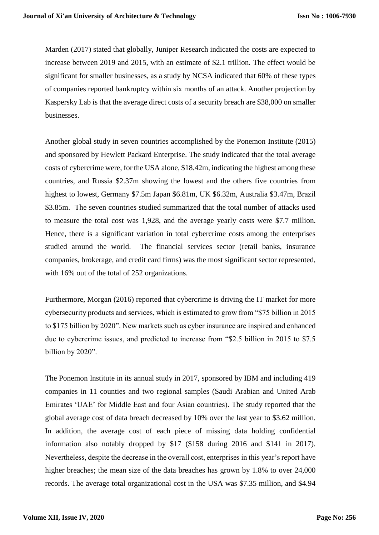Marden (2017) stated that globally, Juniper Research indicated the costs are expected to increase between 2019 and 2015, with an estimate of \$2.1 trillion. The effect would be significant for smaller businesses, as a study by NCSA indicated that 60% of these types of companies reported bankruptcy within six months of an attack. Another projection by Kaspersky Lab is that the average direct costs of a security breach are \$38,000 on smaller businesses.

Another global study in seven countries accomplished by the Ponemon Institute (2015) and sponsored by Hewlett Packard Enterprise. The study indicated that the total average costs of cybercrime were, for the USA alone, \$18.42m, indicating the highest among these countries, and Russia \$2.37m showing the lowest and the others five countries from highest to lowest, Germany \$7.5m Japan \$6.81m, UK \$6.32m, Australia \$3.47m, Brazil \$3.85m. The seven countries studied summarized that the total number of attacks used to measure the total cost was 1,928, and the average yearly costs were \$7.7 million. Hence, there is a significant variation in total cybercrime costs among the enterprises studied around the world. The financial services sector (retail banks, insurance companies, brokerage, and credit card firms) was the most significant sector represented, with 16% out of the total of 252 organizations.

Furthermore, Morgan (2016) reported that cybercrime is driving the IT market for more cybersecurity products and services, which is estimated to grow from "\$75 billion in 2015 to \$175 billion by 2020". New markets such as cyber insurance are inspired and enhanced due to cybercrime issues, and predicted to increase from "\$2.5 billion in 2015 to \$7.5 billion by 2020".

The Ponemon Institute in its annual study in 2017, sponsored by IBM and including 419 companies in 11 counties and two regional samples (Saudi Arabian and United Arab Emirates 'UAE' for Middle East and four Asian countries). The study reported that the global average cost of data breach decreased by 10% over the last year to \$3.62 million. In addition, the average cost of each piece of missing data holding confidential information also notably dropped by \$17 (\$158 during 2016 and \$141 in 2017). Nevertheless, despite the decrease in the overall cost, enterprises in this year's report have higher breaches; the mean size of the data breaches has grown by 1.8% to over 24,000 records. The average total organizational cost in the USA was \$7.35 million, and \$4.94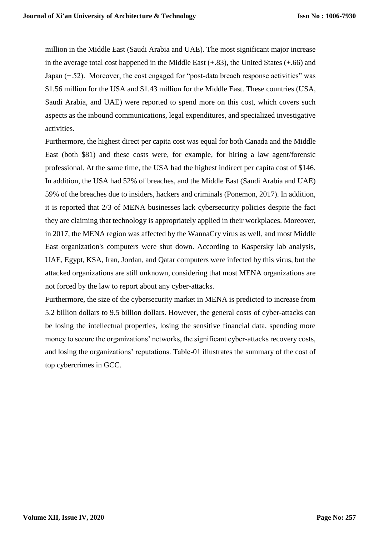million in the Middle East (Saudi Arabia and UAE). The most significant major increase in the average total cost happened in the Middle East (+.83), the United States (+.66) and Japan (+.52). Moreover, the cost engaged for "post-data breach response activities" was \$1.56 million for the USA and \$1.43 million for the Middle East. These countries (USA, Saudi Arabia, and UAE) were reported to spend more on this cost, which covers such aspects as the inbound communications, legal expenditures, and specialized investigative activities.

Furthermore, the highest direct per capita cost was equal for both Canada and the Middle East (both \$81) and these costs were, for example, for hiring a law agent/forensic professional. At the same time, the USA had the highest indirect per capita cost of \$146. In addition, the USA had 52% of breaches, and the Middle East (Saudi Arabia and UAE) 59% of the breaches due to insiders, hackers and criminals (Ponemon, 2017). In addition, it is reported that 2/3 of MENA businesses lack cybersecurity policies despite the fact they are claiming that technology is appropriately applied in their workplaces. Moreover, in 2017, the MENA region was affected by the WannaCry virus as well, and most Middle East organization's computers were shut down. According to Kaspersky lab analysis, UAE, Egypt, KSA, Iran, Jordan, and Qatar computers were infected by this virus, but the attacked organizations are still unknown, considering that most MENA organizations are not forced by the law to report about any cyber-attacks.

Furthermore, the size of the cybersecurity market in MENA is predicted to increase from 5.2 billion dollars to 9.5 billion dollars. However, the general costs of cyber-attacks can be losing the intellectual properties, losing the sensitive financial data, spending more money to secure the organizations' networks, the significant cyber-attacks recovery costs, and losing the organizations' reputations. Table-01 illustrates the summary of the cost of top cybercrimes in GCC.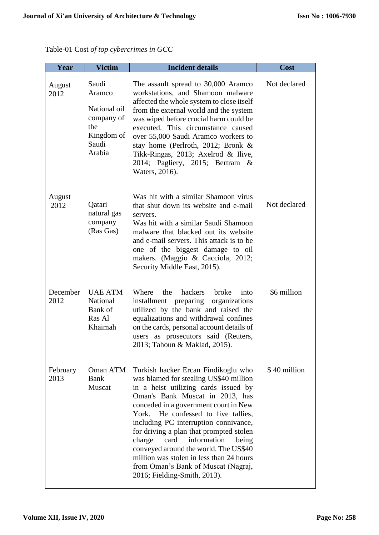| August<br>2012   | Saudi<br>Aramco<br>National oil<br>company of<br>the<br>Kingdom of<br>Saudi<br>Arabia | The assault spread to 30,000 Aramco<br>workstations, and Shamoon malware<br>affected the whole system to close itself<br>from the external world and the system<br>was wiped before crucial harm could be<br>executed. This circumstance caused<br>over 55,000 Saudi Aramco workers to<br>stay home (Perlroth, 2012; Bronk $\&$<br>Tikk-Ringas, 2013; Axelrod & Ilive,<br>2014; Pagliery, 2015; Bertram &<br>Waters, 2016).                                                                                                           | Not declared |
|------------------|---------------------------------------------------------------------------------------|---------------------------------------------------------------------------------------------------------------------------------------------------------------------------------------------------------------------------------------------------------------------------------------------------------------------------------------------------------------------------------------------------------------------------------------------------------------------------------------------------------------------------------------|--------------|
| August<br>2012   | Qatari<br>natural gas<br>company<br>(Ras Gas)                                         | Was hit with a similar Shamoon virus<br>that shut down its website and e-mail<br>servers.<br>Was hit with a similar Saudi Shamoon<br>malware that blacked out its website<br>and e-mail servers. This attack is to be<br>one of the biggest damage to oil<br>makers. (Maggio & Cacciola, 2012;<br>Security Middle East, 2015).                                                                                                                                                                                                        | Not declared |
| December<br>2012 | <b>UAE ATM</b><br>National<br>Bank of<br>Ras Al<br>Khaimah                            | the<br>hackers<br>broke<br>Where<br>into<br>installment preparing organizations<br>utilized by the bank and raised the<br>equalizations and withdrawal confines<br>on the cards, personal account details of<br>users as prosecutors said (Reuters,<br>2013; Tahoun & Maklad, 2015).                                                                                                                                                                                                                                                  | \$6 million  |
| February<br>2013 | Oman ATM<br>Bank<br>Muscat                                                            | Turkish hacker Ercan Findikoglu who<br>was blamed for stealing US\$40 million<br>in a heist utilizing cards issued by<br>Oman's Bank Muscat in 2013, has<br>conceded in a government court in New<br>He confessed to five tallies,<br>York.<br>including PC interruption connivance,<br>for driving a plan that prompted stolen<br>charge<br>card<br>information<br>being<br>conveyed around the world. The US\$40<br>million was stolen in less than 24 hours<br>from Oman's Bank of Muscat (Nagraj,<br>2016; Fielding-Smith, 2013). | \$40 million |

**Year Victim Incident details Cost**

Table-01 Cost *of top cybercrimes in GCC*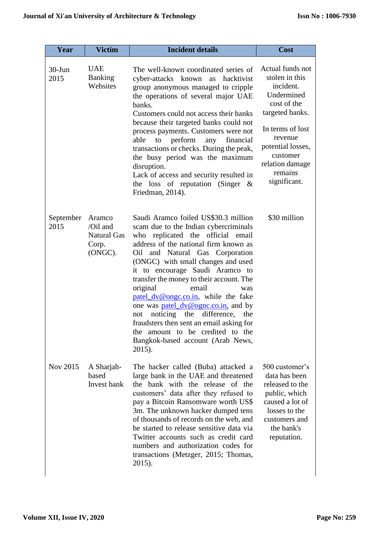| Year               | <b>Victim</b>                                                         | <b>Incident details</b>                                                                                                                                                                                                                                                                                                                                                                                                                                                                                                                                                                                              | <b>Cost</b>                                                                                                                                                                                                   |
|--------------------|-----------------------------------------------------------------------|----------------------------------------------------------------------------------------------------------------------------------------------------------------------------------------------------------------------------------------------------------------------------------------------------------------------------------------------------------------------------------------------------------------------------------------------------------------------------------------------------------------------------------------------------------------------------------------------------------------------|---------------------------------------------------------------------------------------------------------------------------------------------------------------------------------------------------------------|
| $30 - Jun$<br>2015 | <b>UAE</b><br><b>Banking</b><br>Websites                              | The well-known coordinated series of<br>cyber-attacks known<br>hacktivist<br>as<br>group anonymous managed to cripple<br>the operations of several major UAE<br>banks.<br>Customers could not access their banks<br>because their targeted banks could not<br>process payments. Customers were not<br>perform<br>able<br>financial<br>to<br>any<br>transactions or checks. During the peak,<br>the busy period was the maximum<br>disruption.<br>Lack of access and security resulted in<br>the loss of reputation (Singer $\&$<br>Friedman, 2014).                                                                  | Actual funds not<br>stolen in this<br>incident.<br>Undermined<br>cost of the<br>targeted banks.<br>In terms of lost<br>revenue<br>potential losses,<br>customer<br>relation damage<br>remains<br>significant. |
| September<br>2015  | Aramco<br>$\sqrt{O}$ il and<br><b>Natural Gas</b><br>Corp.<br>(ONGC). | Saudi Aramco foiled US\$30.3 million<br>scam due to the Indian cybercriminals<br>who replicated the official email<br>address of the national firm known as<br>Oil and Natural Gas Corporation<br>(ONGC) with small changes and used<br>it to encourage Saudi Aramco to<br>transfer the money to their account. The<br>original<br>email<br>was<br>patel_dv@ongc.co.in, while the fake<br>one was <b>patel_dv@ognc.co.in</b> , and by<br>noticing<br>the<br>difference,<br>the<br>not<br>fraudsters then sent an email asking for<br>the amount to be credited to the<br>Bangkok-based account (Arab News,<br>2015). | \$30 million                                                                                                                                                                                                  |
| Nov 2015           | A Sharjah-<br>based<br>Invest bank                                    | The hacker called (Buba) attacked a<br>large bank in the UAE and threatened<br>the bank with the release of the<br>customers' data after they refused to<br>pay a Bitcoin Ransomware worth US\$<br>3m. The unknown hacker dumped tens<br>of thousands of records on the web, and<br>he started to release sensitive data via<br>Twitter accounts such as credit card<br>numbers and authorization codes for<br>transactions (Metzger, 2015; Thomas,<br>2015).                                                                                                                                                        | 500 customer's<br>data has been<br>released to the<br>public, which<br>caused a lot of<br>losses to the<br>customers and<br>the bank's<br>reputation.                                                         |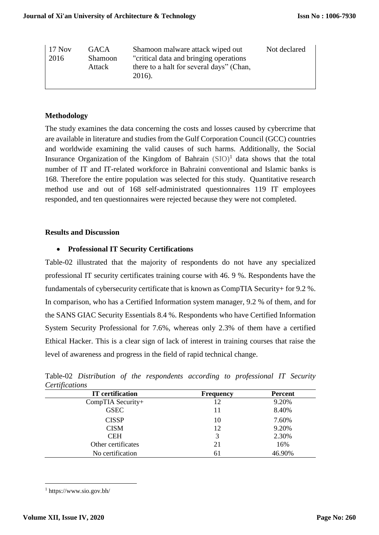| Not declared<br>  17 Nov<br>Shamoon malware attack wiped out<br><b>GACA</b><br>"critical data and bringing operations"<br>2016<br><b>Shamoon</b><br>there to a halt for several days" (Chan,<br>Attack<br>2016). |  |
|------------------------------------------------------------------------------------------------------------------------------------------------------------------------------------------------------------------|--|
|------------------------------------------------------------------------------------------------------------------------------------------------------------------------------------------------------------------|--|

# **Methodology**

The study examines the data concerning the costs and losses caused by cybercrime that are available in literature and studies from the Gulf Corporation Council (GCC) countries and worldwide examining the valid causes of such harms. Additionally, the Social Insurance Organization of the Kingdom of Bahrain  $(SIO)^1$  data shows that the total number of IT and IT-related workforce in Bahraini conventional and Islamic banks is 168. Therefore the entire population was selected for this study. Quantitative research method use and out of 168 self-administrated questionnaires 119 IT employees responded, and ten questionnaires were rejected because they were not completed.

## **Results and Discussion**

## **Professional IT Security Certifications**

Table-02 illustrated that the majority of respondents do not have any specialized professional IT security certificates training course with 46. 9 %. Respondents have the fundamentals of cybersecurity certificate that is known as CompTIA Security+ for 9.2 %. In comparison, who has a Certified Information system manager, 9.2 % of them, and for the SANS GIAC Security Essentials 8.4 %. Respondents who have Certified Information System Security Professional for 7.6%, whereas only 2.3% of them have a certified Ethical Hacker. This is a clear sign of lack of interest in training courses that raise the level of awareness and progress in the field of rapid technical change.

| Certifications          |                  |                |  |  |  |
|-------------------------|------------------|----------------|--|--|--|
| <b>IT</b> certification | <b>Frequency</b> | <b>Percent</b> |  |  |  |
| CompTIA Security+       | 12               | 9.20%          |  |  |  |
| <b>GSEC</b>             | 11               | 8.40%          |  |  |  |
| <b>CISSP</b>            | 10               | 7.60%          |  |  |  |
| <b>CISM</b>             | 12               | 9.20%          |  |  |  |
| <b>CEH</b>              | 3                | 2.30%          |  |  |  |
| Other certificates      | 21               | 16%            |  |  |  |
| No certification        | 61               | 46.90%         |  |  |  |

Table-02 *Distribution of the respondents according to professional IT Security Certifications*

<sup>1</sup> https://www.sio.gov.bh/

 $\overline{a}$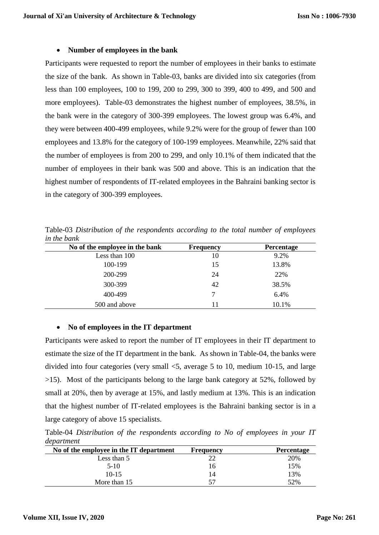#### **Number of employees in the bank**

Participants were requested to report the number of employees in their banks to estimate the size of the bank. As shown in Table-03, banks are divided into six categories (from less than 100 employees, 100 to 199, 200 to 299, 300 to 399, 400 to 499, and 500 and more employees). Table-03 demonstrates the highest number of employees, 38.5%, in the bank were in the category of 300-399 employees. The lowest group was 6.4%, and they were between 400-499 employees, while 9.2% were for the group of fewer than 100 employees and 13.8% for the category of 100-199 employees. Meanwhile, 22% said that the number of employees is from 200 to 299, and only 10.1% of them indicated that the number of employees in their bank was 500 and above. This is an indication that the highest number of respondents of IT-related employees in the Bahraini banking sector is in the category of 300-399 employees.

Table-03 *Distribution of the respondents according to the total number of employees in the bank*

| No of the employee in the bank | <b>Frequency</b> | <b>Percentage</b> |
|--------------------------------|------------------|-------------------|
| Less than 100                  | 10               | 9.2%              |
| 100-199                        | 15               | 13.8%             |
| 200-299                        | 24               | 22%               |
| 300-399                        | 42               | 38.5%             |
| 400-499                        | 7                | 6.4%              |
| 500 and above                  | 11               | 10.1%             |

## **No of employees in the IT department**

Participants were asked to report the number of IT employees in their IT department to estimate the size of the IT department in the bank. As shown in Table-04, the banks were divided into four categories (very small <5, average 5 to 10, medium 10-15, and large >15). Most of the participants belong to the large bank category at 52%, followed by small at 20%, then by average at 15%, and lastly medium at 13%. This is an indication that the highest number of IT-related employees is the Bahraini banking sector is in a large category of above 15 specialists.

Table-04 *Distribution of the respondents according to No of employees in your IT department*

| No of the employee in the IT department | Frequency | <b>Percentage</b> |
|-----------------------------------------|-----------|-------------------|
| Less than 5                             |           | 20%               |
| $5-10$                                  | 16        | 15%               |
| $10-15$                                 | 14        | 13%               |
| More than 15                            | 57        | 52%               |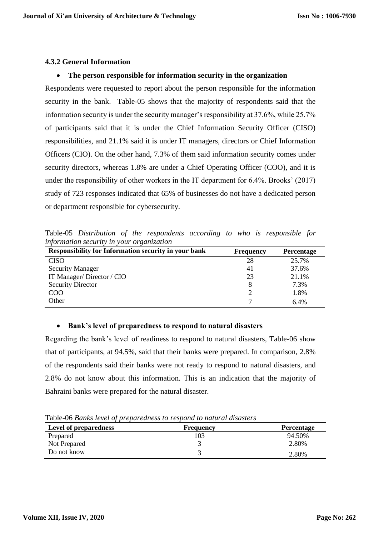## **4.3.2 General Information**

#### **The person responsible for information security in the organization**

Respondents were requested to report about the person responsible for the information security in the bank. Table-05 shows that the majority of respondents said that the information security is under the security manager's responsibility at 37.6%, while 25.7% of participants said that it is under the Chief Information Security Officer (CISO) responsibilities, and 21.1% said it is under IT managers, directors or Chief Information Officers (CIO). On the other hand, 7.3% of them said information security comes under security directors, whereas 1.8% are under a Chief Operating Officer (COO), and it is under the responsibility of other workers in the IT department for 6.4%. Brooks' (2017) study of 723 responses indicated that 65% of businesses do not have a dedicated person or department responsible for cybersecurity.

Table-05 *Distribution of the respondents according to who is responsible for information security in your organization*

| <b>Responsibility for Information security in your bank</b> | <b>Frequency</b> | <b>Percentage</b> |
|-------------------------------------------------------------|------------------|-------------------|
| <b>CISO</b>                                                 | 28               | 25.7%             |
| <b>Security Manager</b>                                     | 41               | 37.6%             |
| IT Manager/Director / CIO                                   | 23               | 21.1%             |
| <b>Security Director</b>                                    | 8                | 7.3%              |
| $\rm{COO}$                                                  |                  | 1.8%              |
| Other                                                       |                  | 6.4%              |

#### **Bank's level of preparedness to respond to natural disasters**

Regarding the bank's level of readiness to respond to natural disasters, Table-06 show that of participants, at 94.5%, said that their banks were prepared. In comparison, 2.8% of the respondents said their banks were not ready to respond to natural disasters, and 2.8% do not know about this information. This is an indication that the majority of Bahraini banks were prepared for the natural disaster.

| <b>Level of preparedness</b> | Frequency | <b>Percentage</b> |
|------------------------------|-----------|-------------------|
| Prepared                     |           | 94.50%            |
| Not Prepared                 |           | 2.80%             |
| Do not know                  |           | 2.80%             |

Table-06 *Banks level of preparedness to respond to natural disasters*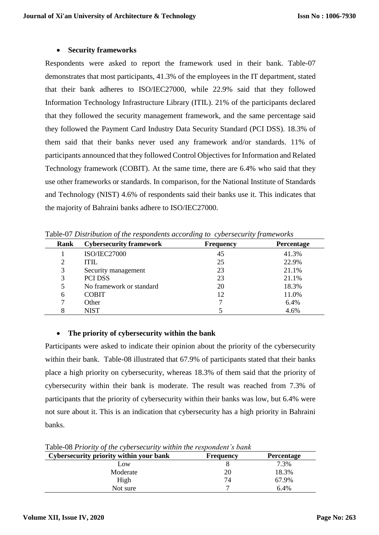#### **Security frameworks**

Respondents were asked to report the framework used in their bank. Table-07 demonstrates that most participants, 41.3% of the employees in the IT department, stated that their bank adheres to ISO/IEC27000, while 22.9% said that they followed Information Technology Infrastructure Library (ITIL). 21% of the participants declared that they followed the security management framework, and the same percentage said they followed the Payment Card Industry Data Security Standard (PCI DSS). 18.3% of them said that their banks never used any framework and/or standards. 11% of participants announced that they followed Control Objectives for Information and Related Technology framework (COBIT). At the same time, there are 6.4% who said that they use other frameworks or standards. In comparison, for the National Institute of Standards and Technology (NIST) 4.6% of respondents said their banks use it. This indicates that the majority of Bahraini banks adhere to ISO/IEC27000.

| Rank | <b>Cybersecurity framework</b> | <b>Frequency</b> | <b>Percentage</b> |
|------|--------------------------------|------------------|-------------------|
|      | <b>ISO/IEC27000</b>            | 45               | 41.3%             |
| 2    | <b>ITIL</b>                    | 25               | 22.9%             |
| 3    | Security management            | 23               | 21.1%             |
| 3    | <b>PCI DSS</b>                 | 23               | 21.1%             |
| 5    | No framework or standard       | 20               | 18.3%             |
| 6    | <b>COBIT</b>                   | 12               | 11.0%             |
| 7    | Other                          | ⇁                | 6.4%              |
| 8    | <b>NIST</b>                    |                  | 4.6%              |

Table-07 *Distribution of the respondents according to cybersecurity frameworks*

#### **The priority of cybersecurity within the bank**

Participants were asked to indicate their opinion about the priority of the cybersecurity within their bank. Table-08 illustrated that 67.9% of participants stated that their banks place a high priority on cybersecurity, whereas 18.3% of them said that the priority of cybersecurity within their bank is moderate. The result was reached from 7.3% of participants that the priority of cybersecurity within their banks was low, but 6.4% were not sure about it. This is an indication that cybersecurity has a high priority in Bahraini banks.

| Cybersecurity priority within your bank | <b>Frequency</b> | <b>Percentage</b> |
|-----------------------------------------|------------------|-------------------|
| Low                                     |                  | 7.3%              |
| Moderate                                | 20               | 18.3%             |
| High                                    | 74               | 67.9%             |
| Not sure                                |                  | 6.4%              |

Table-08 *Priority of the cybersecurity within the respondent's bank*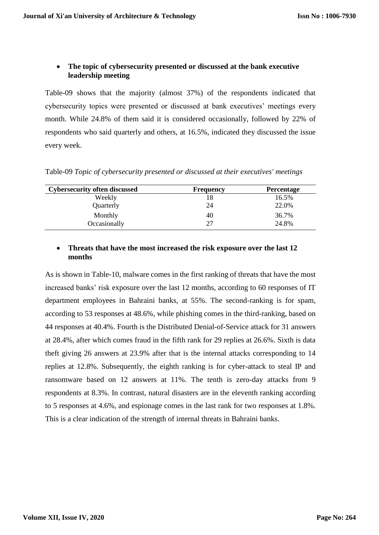# **The topic of cybersecurity presented or discussed at the bank executive leadership meeting**

Table-09 shows that the majority (almost 37%) of the respondents indicated that cybersecurity topics were presented or discussed at bank executives' meetings every month. While 24.8% of them said it is considered occasionally, followed by 22% of respondents who said quarterly and others, at 16.5%, indicated they discussed the issue every week.

Table-09 *Topic of cybersecurity presented or discussed at their executives' meetings*

| <b>Cybersecurity often discussed</b> | <b>Frequency</b> | <b>Percentage</b> |
|--------------------------------------|------------------|-------------------|
| Weekly                               |                  | 16.5%             |
| Quarterly                            | 24               | 22.0%             |
| Monthly                              | 40               | 36.7%             |
| Occasionally                         | 27               | 24.8%             |

# **Threats that have the most increased the risk exposure over the last 12 months**

As is shown in Table-10, malware comes in the first ranking of threats that have the most increased banks' risk exposure over the last 12 months, according to 60 responses of IT department employees in Bahraini banks, at 55%. The second-ranking is for spam, according to 53 responses at 48.6%, while phishing comes in the third-ranking, based on 44 responses at 40.4%. Fourth is the Distributed Denial-of-Service attack for 31 answers at 28.4%, after which comes fraud in the fifth rank for 29 replies at 26.6%. Sixth is data theft giving 26 answers at 23.9% after that is the internal attacks corresponding to 14 replies at 12.8%. Subsequently, the eighth ranking is for cyber-attack to steal IP and ransomware based on 12 answers at 11%. The tenth is zero-day attacks from 9 respondents at 8.3%. In contrast, natural disasters are in the eleventh ranking according to 5 responses at 4.6%, and espionage comes in the last rank for two responses at 1.8%. This is a clear indication of the strength of internal threats in Bahraini banks.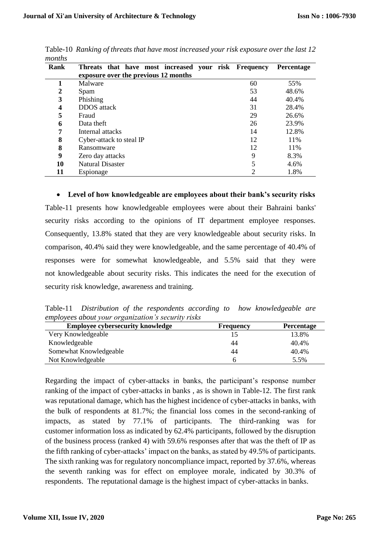| ,,,,,,,,,, |                                                      |                |                   |
|------------|------------------------------------------------------|----------------|-------------------|
| Rank       | Threats that have most increased your risk Frequency |                | <b>Percentage</b> |
|            | exposure over the previous 12 months                 |                |                   |
|            | Malware                                              | 60             | 55%               |
| 2          | Spam                                                 | 53             | 48.6%             |
| 3          | Phishing                                             | 44             | 40.4%             |
| 4          | <b>DDOS</b> attack                                   | 31             | 28.4%             |
| 5          | Fraud                                                | 29             | 26.6%             |
| 6          | Data theft                                           | 26             | 23.9%             |
| 7          | Internal attacks                                     | 14             | 12.8%             |
| 8          | Cyber-attack to steal IP                             | 12             | 11%               |
| 8          | Ransomware                                           | 12             | 11%               |
| 9          | Zero day attacks                                     | 9              | 8.3%              |
| 10         | Natural Disaster                                     |                | 4.6%              |
| 11         | Espionage                                            | $\mathfrak{D}$ | 1.8%              |

Table-10 *Ranking of threats that have most increased your risk exposure over the last 12 months*

 **Level of how knowledgeable are employees about their bank's security risks** Table-11 presents how knowledgeable employees were about their Bahraini banks' security risks according to the opinions of IT department employee responses. Consequently, 13.8% stated that they are very knowledgeable about security risks. In comparison, 40.4% said they were knowledgeable, and the same percentage of 40.4% of responses were for somewhat knowledgeable, and 5.5% said that they were not knowledgeable about security risks. This indicates the need for the execution of security risk knowledge, awareness and training.

Table-11 *Distribution of the respondents according to how knowledgeable are employees about your organization's security risks*

| <b>Employee cybersecurity knowledge</b> | <b>Frequency</b> | <b>Percentage</b> |
|-----------------------------------------|------------------|-------------------|
| Very Knowledgeable                      |                  | 13.8%             |
| Knowledgeable                           | 44               | 40.4%             |
| Somewhat Knowledgeable                  | 44               | 40.4%             |
| Not Knowledgeable                       |                  | 5.5%              |

Regarding the impact of cyber-attacks in banks, the participant's response number ranking of the impact of cyber-attacks in banks , as is shown in Table-12. The first rank was reputational damage, which has the highest incidence of cyber-attacks in banks, with the bulk of respondents at 81.7%; the financial loss comes in the second-ranking of impacts, as stated by 77.1% of participants. The third-ranking was for customer information loss as indicated by 62.4% participants, followed by the disruption of the business process (ranked 4) with 59.6% responses after that was the theft of IP as the fifth ranking of cyber-attacks' impact on the banks, as stated by 49.5% of participants. The sixth ranking was for regulatory noncompliance impact, reported by 37.6%, whereas the seventh ranking was for effect on employee morale, indicated by 30.3% of respondents. The reputational damage is the highest impact of cyber-attacks in banks.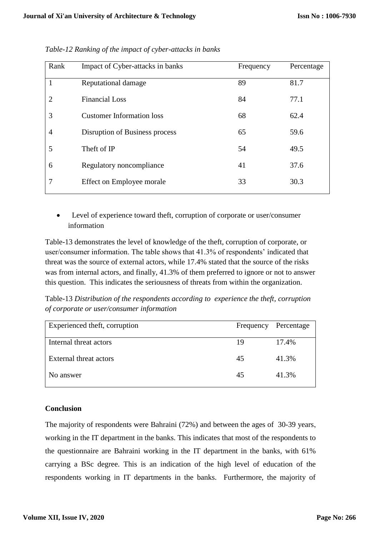| Rank           | Impact of Cyber-attacks in banks | Frequency | Percentage |
|----------------|----------------------------------|-----------|------------|
| 1              | Reputational damage              | 89        | 81.7       |
| $\overline{2}$ | <b>Financial Loss</b>            | 84        | 77.1       |
| 3              | <b>Customer Information loss</b> | 68        | 62.4       |
| 4              | Disruption of Business process   | 65        | 59.6       |
| 5              | Theft of IP                      | 54        | 49.5       |
| 6              | Regulatory noncompliance         | 41        | 37.6       |
| 7              | Effect on Employee morale        | 33        | 30.3       |

*Table-12 Ranking of the impact of cyber-attacks in banks*

 Level of experience toward theft, corruption of corporate or user/consumer information

Table-13 demonstrates the level of knowledge of the theft, corruption of corporate, or user/consumer information. The table shows that 41.3% of respondents' indicated that threat was the source of external actors, while 17.4% stated that the source of the risks was from internal actors, and finally, 41.3% of them preferred to ignore or not to answer this question. This indicates the seriousness of threats from within the organization.

Table-13 *Distribution of the respondents according to experience the theft, corruption of corporate or user/consumer information*

| Experienced theft, corruption | Frequency | Percentage |
|-------------------------------|-----------|------------|
| Internal threat actors        | 19        | 17.4%      |
| External threat actors        | 45        | 41.3%      |
| No answer                     | 45        | 41.3%      |
|                               |           |            |

## **Conclusion**

The majority of respondents were Bahraini (72%) and between the ages of 30-39 years, working in the IT department in the banks. This indicates that most of the respondents to the questionnaire are Bahraini working in the IT department in the banks, with 61% carrying a BSc degree. This is an indication of the high level of education of the respondents working in IT departments in the banks. Furthermore, the majority of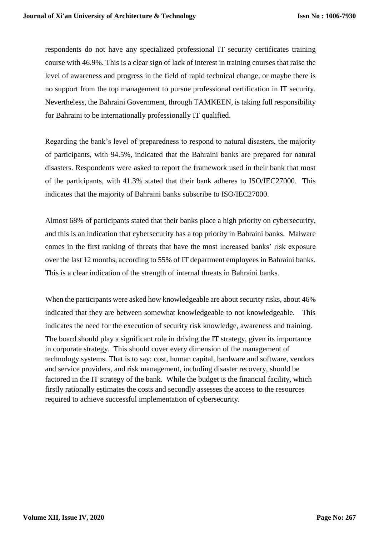respondents do not have any specialized professional IT security certificates training course with 46.9%. This is a clear sign of lack of interest in training courses that raise the level of awareness and progress in the field of rapid technical change, or maybe there is no support from the top management to pursue professional certification in IT security. Nevertheless, the Bahraini Government, through TAMKEEN, is taking full responsibility for Bahraini to be internationally professionally IT qualified.

Regarding the bank's level of preparedness to respond to natural disasters, the majority of participants, with 94.5%, indicated that the Bahraini banks are prepared for natural disasters. Respondents were asked to report the framework used in their bank that most of the participants, with 41.3% stated that their bank adheres to ISO/IEC27000. This indicates that the majority of Bahraini banks subscribe to ISO/IEC27000.

Almost 68% of participants stated that their banks place a high priority on cybersecurity, and this is an indication that cybersecurity has a top priority in Bahraini banks. Malware comes in the first ranking of threats that have the most increased banks' risk exposure over the last 12 months, according to 55% of IT department employees in Bahraini banks. This is a clear indication of the strength of internal threats in Bahraini banks.

When the participants were asked how knowledgeable are about security risks, about 46% indicated that they are between somewhat knowledgeable to not knowledgeable. This indicates the need for the execution of security risk knowledge, awareness and training. The board should play a significant role in driving the IT strategy, given its importance in corporate strategy. This should cover every dimension of the management of technology systems. That is to say: cost, human capital, hardware and software, vendors and service providers, and risk management, including disaster recovery, should be factored in the IT strategy of the bank. While the budget is the financial facility, which firstly rationally estimates the costs and secondly assesses the access to the resources required to achieve successful implementation of cybersecurity.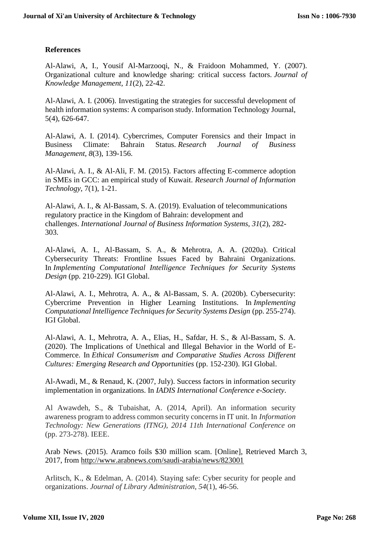# **References**

Al-Alawi, A, I., Yousif Al-Marzooqi, N., & Fraidoon Mohammed, Y. (2007). Organizational culture and knowledge sharing: critical success factors. *Journal of Knowledge Management*, *11*(2), 22-42.

Al-Alawi, A. I. (2006). Investigating the strategies for successful development of health information systems: A comparison study. Information Technology Journal, 5(4), 626-647.

Al-Alawi, A. I. (2014). Cybercrimes, Computer Forensics and their Impact in Business Climate: Bahrain Status. *Research Journal of Business Management*, *8*(3), 139-156.

Al-Alawi, A. I., & Al-Ali, F. M. (2015). Factors affecting E-commerce adoption in SMEs in GCC: an empirical study of Kuwait. *Research Journal of Information Technology*, 7(1), 1-21.

Al-Alawi, A. I., & Al-Bassam, S. A. (2019). Evaluation of telecommunications regulatory practice in the Kingdom of Bahrain: development and challenges. *International Journal of Business Information Systems*, *31*(2), 282- 303.

Al-Alawi, A. I., Al-Bassam, S. A., & Mehrotra, A. A. (2020a). Critical Cybersecurity Threats: Frontline Issues Faced by Bahraini Organizations. In *Implementing Computational Intelligence Techniques for Security Systems Design* (pp. 210-229). IGI Global.

Al-Alawi, A. I., Mehrotra, A. A., & Al-Bassam, S. A. (2020b). Cybersecurity: Cybercrime Prevention in Higher Learning Institutions. In *Implementing Computational Intelligence Techniques for Security Systems Design* (pp. 255-274). IGI Global.

Al-Alawi, A. I., Mehrotra, A. A., Elias, H., Safdar, H. S., & Al-Bassam, S. A. (2020). The Implications of Unethical and Illegal Behavior in the World of E-Commerce. In *Ethical Consumerism and Comparative Studies Across Different Cultures: Emerging Research and Opportunities* (pp. 152-230). IGI Global.

Al-Awadi, M., & Renaud, K. (2007, July). Success factors in information security implementation in organizations. In *IADIS International Conference e-Society*.

Al Awawdeh, S., & Tubaishat, A. (2014, April). An information security awareness program to address common security concerns in IT unit. In *Information Technology: New Generations (ITNG), 2014 11th International Conference on* (pp. 273-278). IEEE.

Arab News. (2015). Aramco foils \$30 million scam. [Online], Retrieved March 3, 2017, from<http://www.arabnews.com/saudi-arabia/news/823001>

Arlitsch, K., & Edelman, A. (2014). Staying safe: Cyber security for people and organizations. *Journal of Library Administration*, *54*(1), 46-56.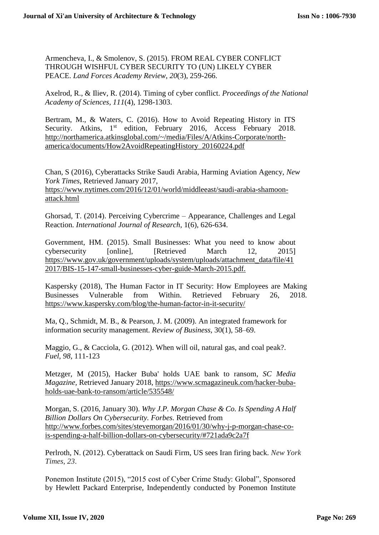Armencheva, I., & Smolenov, S. (2015). FROM REAL CYBER CONFLICT THROUGH WISHFUL CYBER SECURITY TO (UN) LIKELY CYBER PEACE. *Land Forces Academy Review*, *20*(3), 259-266.

Axelrod, R., & Iliev, R. (2014). Timing of cyber conflict. *Proceedings of the National Academy of Sciences*, *111*(4), 1298-1303.

Bertram, M., & Waters, C. (2016). How to Avoid Repeating History in ITS Security. Atkins, 1<sup>st</sup> edition, February 2016, Access February 2018. [http://northamerica.atkinsglobal.com/~/media/Files/A/Atkins-Corporate/north](http://northamerica.atkinsglobal.com/~/media/Files/A/Atkins-Corporate/north-america/documents/How2AvoidRepeatingHistory_20160224.pdf)[america/documents/How2AvoidRepeatingHistory\\_20160224.pdf](http://northamerica.atkinsglobal.com/~/media/Files/A/Atkins-Corporate/north-america/documents/How2AvoidRepeatingHistory_20160224.pdf)

Chan, S (2016), Cyberattacks Strike Saudi Arabia, Harming Aviation Agency, *New York Times*, Retrieved January 2017, [https://www.nytimes.com/2016/12/01/world/middleeast/saudi-arabia-shamoon](https://www.nytimes.com/2016/12/01/world/middleeast/saudi-arabia-shamoon-attack.html)[attack.html](https://www.nytimes.com/2016/12/01/world/middleeast/saudi-arabia-shamoon-attack.html)

Ghorsad, T. (2014). Perceiving Cybercrime – Appearance, Challenges and Legal Reaction. *International Journal of Research*, 1(6), 626-634.

Government, HM. (2015). Small Businesses: What you need to know about cybersecurity [online], [Retrieved March 12, 2015] [https://www.gov.uk/government/uploads/system/uploads/attachment\\_data/file/41](https://www.gov.uk/government/uploads/system/uploads/attachment_data/file/412017/BIS-15-147-small-businesses-cyber-guide-March-2015.pdf) [2017/BIS-15-147-small-businesses-cyber-guide-March-2015.pdf.](https://www.gov.uk/government/uploads/system/uploads/attachment_data/file/412017/BIS-15-147-small-businesses-cyber-guide-March-2015.pdf)

Kaspersky (2018), The Human Factor in IT Security: How Employees are Making Businesses Vulnerable from Within. Retrieved February 26, 2018. <https://www.kaspersky.com/blog/the-human-factor-in-it-security/>

Ma, Q., Schmidt, M. B., & Pearson, J. M. (2009). An integrated framework for information security management. *Review of Business*, 30(1), 58–69.

Maggio, G., & Cacciola, G. (2012). When will oil, natural gas, and coal peak?. *Fuel*, *98*, 111-123

Metzger, M (2015), Hacker Buba' holds UAE bank to ransom, *SC Media Magazine,* Retrieved January 2018, [https://www.scmagazineuk.com/hacker-buba](https://www.scmagazineuk.com/hacker-buba-holds-uae-bank-to-ransom/article/535548/)[holds-uae-bank-to-ransom/article/535548/](https://www.scmagazineuk.com/hacker-buba-holds-uae-bank-to-ransom/article/535548/)

Morgan, S. (2016, January 30). *Why J.P. Morgan Chase & Co. Is Spending A Half Billion Dollars On Cybersecurity. Forbes.* Retrieved from [http://www.forbes.com/sites/stevemorgan/2016/01/30/why-j-p-morgan-chase-co](http://www.forbes.com/sites/stevemorgan/2016/01/30/why-j-p-morgan-chase-co-is-spending-a-half-billion-dollars-on-cybersecurity/#721ada9c2a7f)[is-spending-a-half-billion-dollars-on-cybersecurity/#721ada9c2a7f](http://www.forbes.com/sites/stevemorgan/2016/01/30/why-j-p-morgan-chase-co-is-spending-a-half-billion-dollars-on-cybersecurity/#721ada9c2a7f)

Perlroth, N. (2012). Cyberattack on Saudi Firm, US sees Iran firing back. *New York Times*, *23*.

Ponemon Institute (2015), "2015 cost of Cyber Crime Study: Global", Sponsored by Hewlett Packard Enterprise, Independently conducted by Ponemon Institute